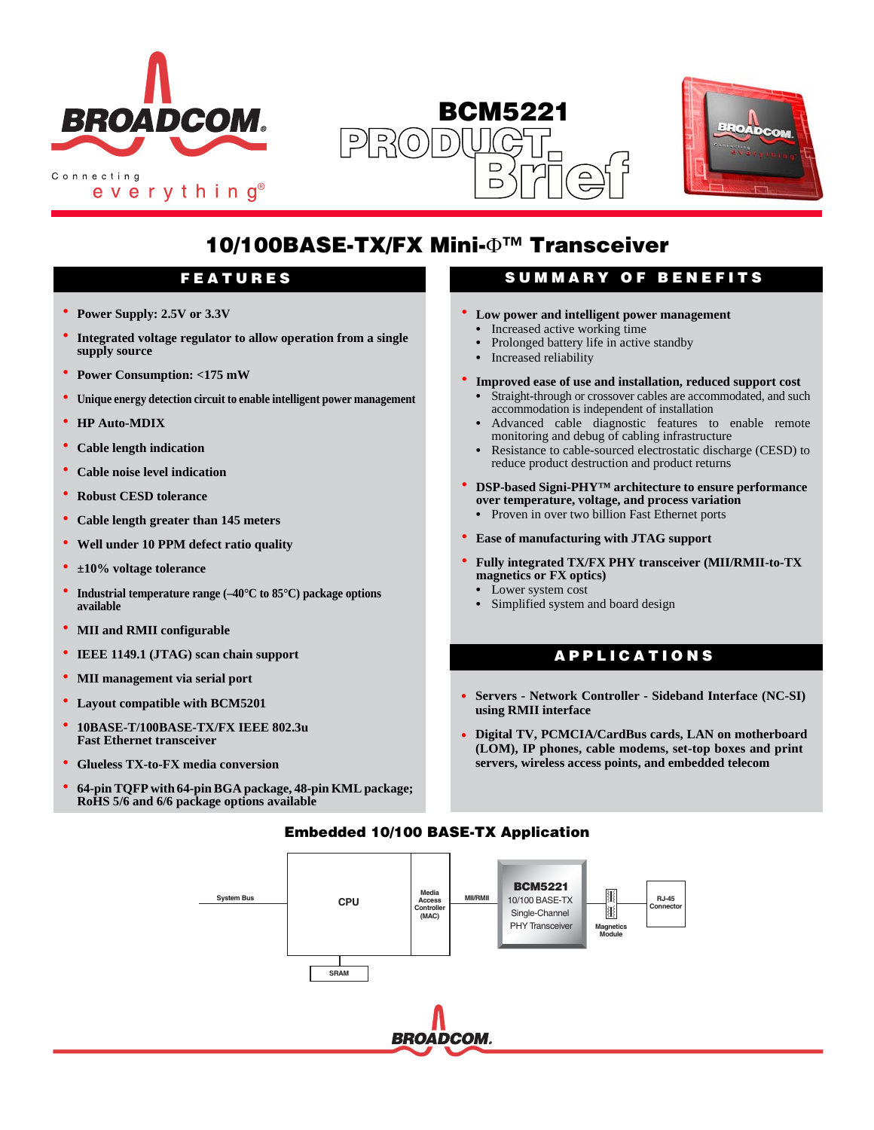

everything<sup>®</sup>

# **BCM5221**  $PR(0)$  $\bigcap$ **Brief**



# **10/100BASE-TX/FX Mini-**Φ**™ Transceiver**

- **• Power Supply: 2.5V or 3.3V**
- **• Integrated voltage regulator to allow operation from a single supply source**
- **• Power Consumption: <175 mW**
- **• Unique energy detection circuit to enable intelligent power management**
- **• HP Auto-MDIX**
- **• Cable length indication**
- **• Cable noise level indication**
- **• Robust CESD tolerance**
- **• Cable length greater than 145 meters**
- **• Well under 10 PPM defect ratio quality**
- **• ±10% voltage tolerance**
- **• Industrial temperature range (–40°C to 85°C) package options available**
- **• MII and RMII configurable**
- **• IEEE 1149.1 (JTAG) scan chain support**
- **• MII management via serial port**
- **• Layout compatible with BCM5201**
- **• 10BASE-T/100BASE-TX/FX IEEE 802.3u Fast Ethernet transceiver**
- **• Glueless TX-to-FX media conversion**
- **• 64-pin TQFP with 64-pin BGA package, 48-pin KML package; RoHS 5/6 and 6/6 package options available**

# **FEATURES SUMMARY OF BENEFITS**

- **• Low power and intelligent power management •** Increased active working time
- **•** Prolonged battery life in active standby
- **•** Increased reliability
- **• Improved ease of use and installation, reduced support cost**
	- **•** Straight-through or crossover cables are accommodated, and such accommodation is independent of installation
	- **•** Advanced cable diagnostic features to enable remote monitoring and debug of cabling infrastructure
	- **•** Resistance to cable-sourced electrostatic discharge (CESD) to reduce product destruction and product returns
- **• DSP-based Signi-PHY™ architecture to ensure performance over temperature, voltage, and process variation**
- **•** Proven in over two billion Fast Ethernet ports
- **• Ease of manufacturing with JTAG support**
- **• Fully integrated TX/FX PHY transceiver (MII/RMII-to-TX magnetics or FX optics)**
	- **•** Lower system cost
	- **•** Simplified system and board design

# **APPLICATIONS**

- **• Servers Network Controller Sideband Interface (NC-SI) using RMII interface**
- **• Digital TV, PCMCIA/CardBus cards, LAN on motherboard (LOM), IP phones, cable modems, set-top boxes and print servers, wireless access points, and embedded telecom**

# **Embedded 10/100 BASE-TX Application**